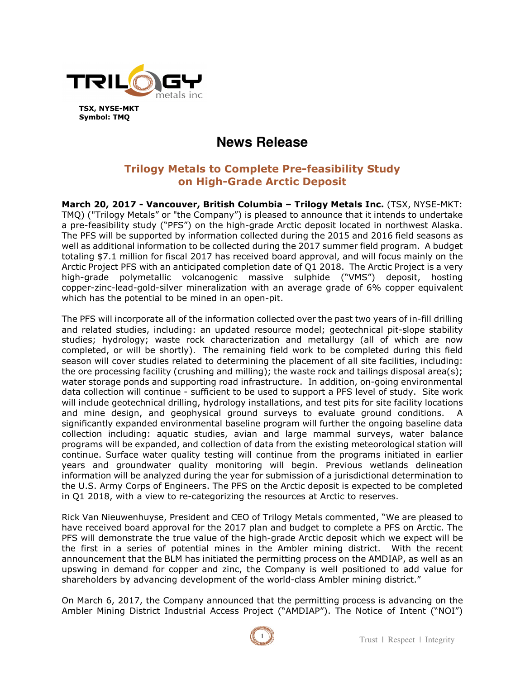

**TSX, NYSE-MKT Symbol: TMQ** 

# **News Release**

# **Trilogy Metals to Complete Pre-feasibility Study on High-Grade Arctic Deposit**

**March 20, 2017 - Vancouver, British Columbia – Trilogy Metals Inc.** (TSX, NYSE-MKT: TMQ) ("Trilogy Metals" or "the Company") is pleased to announce that it intends to undertake a pre-feasibility study ("PFS") on the high-grade Arctic deposit located in northwest Alaska. The PFS will be supported by information collected during the 2015 and 2016 field seasons as well as additional information to be collected during the 2017 summer field program. A budget totaling \$7.1 million for fiscal 2017 has received board approval, and will focus mainly on the Arctic Project PFS with an anticipated completion date of Q1 2018. The Arctic Project is a very high-grade polymetallic volcanogenic massive sulphide ("VMS") deposit, hosting copper-zinc-lead-gold-silver mineralization with an average grade of 6% copper equivalent which has the potential to be mined in an open-pit.

The PFS will incorporate all of the information collected over the past two years of in-fill drilling and related studies, including: an updated resource model; geotechnical pit-slope stability studies; hydrology; waste rock characterization and metallurgy (all of which are now completed, or will be shortly). The remaining field work to be completed during this field season will cover studies related to determining the placement of all site facilities, including: the ore processing facility (crushing and milling); the waste rock and tailings disposal area(s); water storage ponds and supporting road infrastructure. In addition, on-going environmental data collection will continue - sufficient to be used to support a PFS level of study. Site work will include geotechnical drilling, hydrology installations, and test pits for site facility locations and mine design, and geophysical ground surveys to evaluate ground conditions. A significantly expanded environmental baseline program will further the ongoing baseline data collection including: aquatic studies, avian and large mammal surveys, water balance programs will be expanded, and collection of data from the existing meteorological station will continue. Surface water quality testing will continue from the programs initiated in earlier years and groundwater quality monitoring will begin. Previous wetlands delineation information will be analyzed during the year for submission of a jurisdictional determination to the U.S. Army Corps of Engineers. The PFS on the Arctic deposit is expected to be completed in Q1 2018, with a view to re-categorizing the resources at Arctic to reserves.

Rick Van Nieuwenhuyse, President and CEO of Trilogy Metals commented, "We are pleased to have received board approval for the 2017 plan and budget to complete a PFS on Arctic. The PFS will demonstrate the true value of the high-grade Arctic deposit which we expect will be the first in a series of potential mines in the Ambler mining district. With the recent announcement that the BLM has initiated the permitting process on the AMDIAP, as well as an upswing in demand for copper and zinc, the Company is well positioned to add value for shareholders by advancing development of the world-class Ambler mining district."

On March 6, 2017, the Company announced that the permitting process is advancing on the Ambler Mining District Industrial Access Project ("AMDIAP"). The Notice of Intent ("NOI")

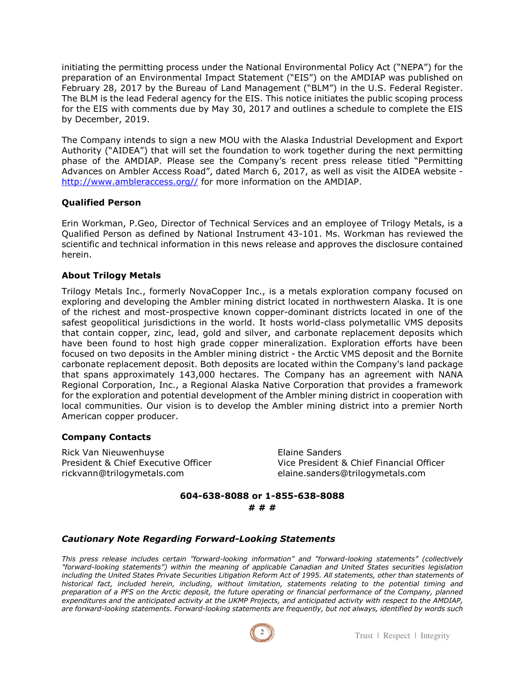initiating the permitting process under the National Environmental Policy Act ("NEPA") for the preparation of an Environmental Impact Statement ("EIS") on the AMDIAP was published on February 28, 2017 by the Bureau of Land Management ("BLM") in the U.S. Federal Register. The BLM is the lead Federal agency for the EIS. This notice initiates the public scoping process for the EIS with comments due by May 30, 2017 and outlines a schedule to complete the EIS by December, 2019.

The Company intends to sign a new MOU with the Alaska Industrial Development and Export Authority ("AIDEA") that will set the foundation to work together during the next permitting phase of the AMDIAP. Please see the Company's recent press release titled "Permitting Advances on Ambler Access Road", dated March 6, 2017, as well as visit the AIDEA website http://www.ambleraccess.org// for more information on the AMDIAP.

# **Qualified Person**

Erin Workman, P.Geo, Director of Technical Services and an employee of Trilogy Metals, is a Qualified Person as defined by National Instrument 43-101. Ms. Workman has reviewed the scientific and technical information in this news release and approves the disclosure contained herein.

## **About Trilogy Metals**

Trilogy Metals Inc., formerly NovaCopper Inc., is a metals exploration company focused on exploring and developing the Ambler mining district located in northwestern Alaska. It is one of the richest and most-prospective known copper-dominant districts located in one of the safest geopolitical jurisdictions in the world. It hosts world-class polymetallic VMS deposits that contain copper, zinc, lead, gold and silver, and carbonate replacement deposits which have been found to host high grade copper mineralization. Exploration efforts have been focused on two deposits in the Ambler mining district - the Arctic VMS deposit and the Bornite carbonate replacement deposit. Both deposits are located within the Company's land package that spans approximately 143,000 hectares. The Company has an agreement with NANA Regional Corporation, Inc., a Regional Alaska Native Corporation that provides a framework for the exploration and potential development of the Ambler mining district in cooperation with local communities. Our vision is to develop the Ambler mining district into a premier North American copper producer.

#### **Company Contacts**

Rick Van Nieuwenhuyse **Elaine Sanders** rickvann@trilogymetals.com elaine.sanders@trilogymetals.com

President & Chief Executive Officer Vice President & Chief Financial Officer

## **604-638-8088 or 1-855-638-8088 # # #**

#### *Cautionary Note Regarding Forward-Looking Statements*

*This press release includes certain "forward-looking information" and "forward-looking statements" (collectively "forward-looking statements") within the meaning of applicable Canadian and United States securities legislation including the United States Private Securities Litigation Reform Act of 1995. All statements, other than statements of historical fact, included herein, including, without limitation, statements relating to the potential timing and preparation of a PFS on the Arctic deposit, the future operating or financial performance of the Company, planned expenditures and the anticipated activity at the UKMP Projects, and anticipated activity with respect to the AMDIAP, are forward-looking statements. Forward-looking statements are frequently, but not always, identified by words such*